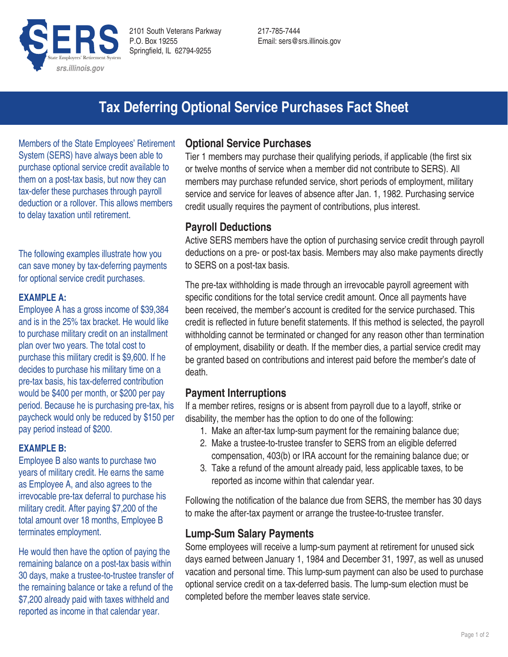

217-785-7444 Email: sers@srs.illinois.gov

# **Tax Deferring Optional Service Purchases Fact Sheet**

Members of the State Employees' Retirement System (SERS) have always been able to purchase optional service credit available to them on a post-tax basis, but now they can tax-defer these purchases through payroll deduction or a rollover. This allows members to delay taxation until retirement.

The following examples illustrate how you can save money by tax-deferring payments for optional service credit purchases.

#### **EXAMPLE A:**

Employee A has a gross income of \$39,384 and is in the 25% tax bracket. He would like to purchase military credit on an installment plan over two years. The total cost to purchase this military credit is \$9,600. If he decides to purchase his military time on a pre-tax basis, his tax-deferred contribution would be \$400 per month, or \$200 per pay period. Because he is purchasing pre-tax, his paycheck would only be reduced by \$150 per pay period instead of \$200.

#### **EXAMPLE B:**

Employee B also wants to purchase two years of military credit. He earns the same as Employee A, and also agrees to the irrevocable pre-tax deferral to purchase his military credit. After paying \$7,200 of the total amount over 18 months, Employee B terminates employment.

He would then have the option of paying the remaining balance on a post-tax basis within 30 days, make a trustee-to-trustee transfer of the remaining balance or take a refund of the \$7,200 already paid with taxes withheld and reported as income in that calendar year.

#### **Optional Service Purchases**

Tier 1 members may purchase their qualifying periods, if applicable (the first six or twelve months of service when a member did not contribute to SERS). All members may purchase refunded service, short periods of employment, military service and service for leaves of absence after Jan. 1, 1982. Purchasing service credit usually requires the payment of contributions, plus interest.

## **Payroll Deductions**

Active SERS members have the option of purchasing service credit through payroll deductions on a pre- or post-tax basis. Members may also make payments directly to SERS on a post-tax basis.

The pre-tax withholding is made through an irrevocable payroll agreement with specific conditions for the total service credit amount. Once all payments have been received, the member's account is credited for the service purchased. This credit is reflected in future benefit statements. If this method is selected, the payroll withholding cannot be terminated or changed for any reason other than termination of employment, disability or death. If the member dies, a partial service credit may be granted based on contributions and interest paid before the member's date of death.

## **Payment Interruptions**

If a member retires, resigns or is absent from payroll due to a layoff, strike or disability, the member has the option to do one of the following:

- 1. Make an after-tax lump-sum payment for the remaining balance due;
- 2. Make a trustee-to-trustee transfer to SERS from an eligible deferred compensation, 403(b) or IRA account for the remaining balance due; or
- 3. Take a refund of the amount already paid, less applicable taxes, to be reported as income within that calendar year.

Following the notification of the balance due from SERS, the member has 30 days to make the after-tax payment or arrange the trustee-to-trustee transfer.

## **Lump-Sum Salary Payments**

Some employees will receive a lump-sum payment at retirement for unused sick days earned between January 1, 1984 and December 31, 1997, as well as unused vacation and personal time. This lump-sum payment can also be used to purchase optional service credit on a tax-deferred basis. The lump-sum election must be completed before the member leaves state service.